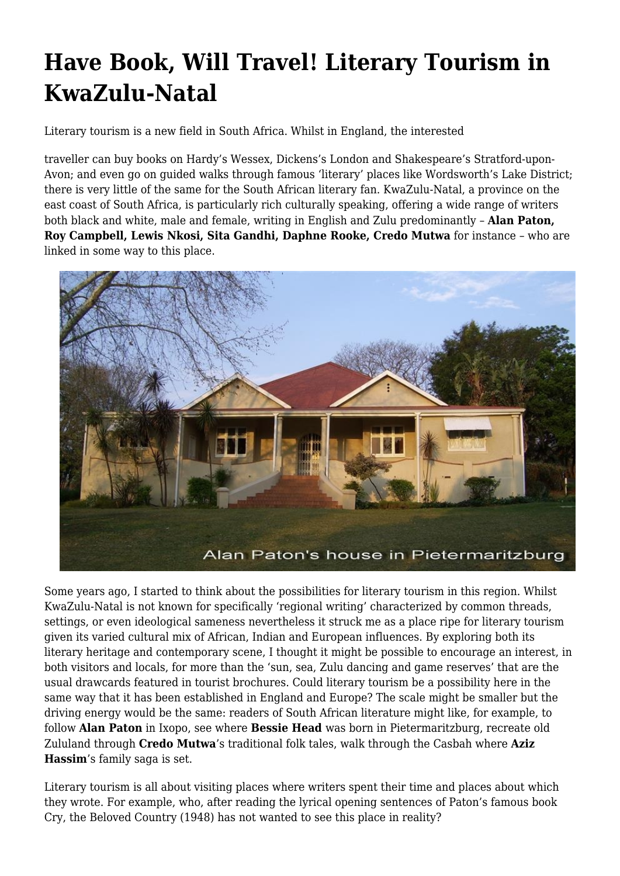## **Have Book, Will Travel! Literary Tourism in KwaZulu-Natal**

Literary tourism is a new field in South Africa. Whilst in England, the interested

traveller can buy books on Hardy's Wessex, Dickens's London and Shakespeare's Stratford-upon-Avon; and even go on guided walks through famous 'literary' places like Wordsworth's Lake District; there is very little of the same for the South African literary fan. KwaZulu-Natal, a province on the east coast of South Africa, is particularly rich culturally speaking, offering a wide range of writers both black and white, male and female, writing in English and Zulu predominantly – **Alan Paton, Roy Campbell, Lewis Nkosi, Sita Gandhi, Daphne Rooke, Credo Mutwa** for instance – who are linked in some way to this place.



Some years ago, I started to think about the possibilities for literary tourism in this region. Whilst KwaZulu-Natal is not known for specifically 'regional writing' characterized by common threads, settings, or even ideological sameness nevertheless it struck me as a place ripe for literary tourism given its varied cultural mix of African, Indian and European influences. By exploring both its literary heritage and contemporary scene, I thought it might be possible to encourage an interest, in both visitors and locals, for more than the 'sun, sea, Zulu dancing and game reserves' that are the usual drawcards featured in tourist brochures. Could literary tourism be a possibility here in the same way that it has been established in England and Europe? The scale might be smaller but the driving energy would be the same: readers of South African literature might like, for example, to follow **Alan Paton** in Ixopo, see where **Bessie Head** was born in Pietermaritzburg, recreate old Zululand through **Credo Mutwa**'s traditional folk tales, walk through the Casbah where **Aziz Hassim**'s family saga is set.

Literary tourism is all about visiting places where writers spent their time and places about which they wrote. For example, who, after reading the lyrical opening sentences of Paton's famous book Cry, the Beloved Country (1948) has not wanted to see this place in reality?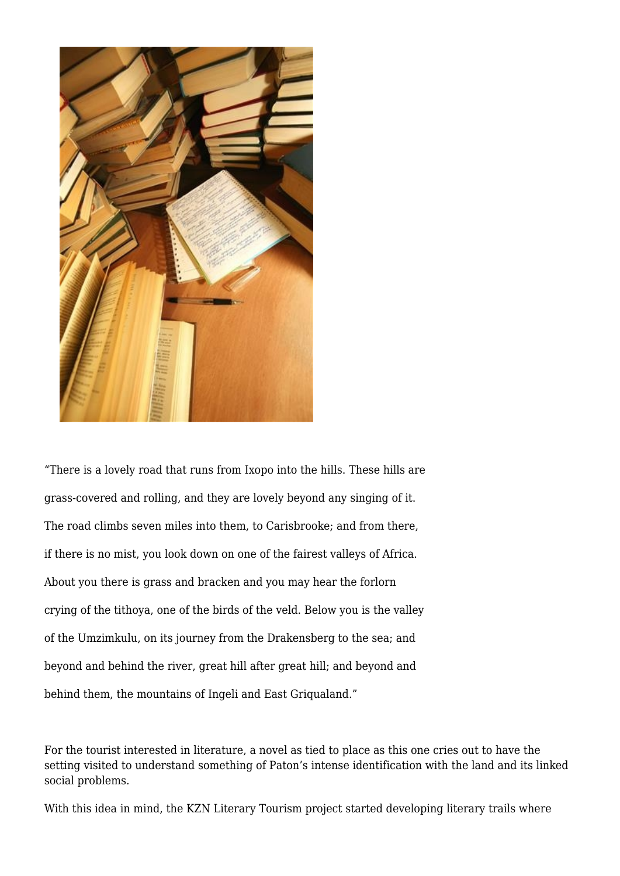

"There is a lovely road that runs from Ixopo into the hills. These hills are grass-covered and rolling, and they are lovely beyond any singing of it. The road climbs seven miles into them, to Carisbrooke; and from there, if there is no mist, you look down on one of the fairest valleys of Africa. About you there is grass and bracken and you may hear the forlorn crying of the tithoya, one of the birds of the veld. Below you is the valley of the Umzimkulu, on its journey from the Drakensberg to the sea; and beyond and behind the river, great hill after great hill; and beyond and behind them, the mountains of Ingeli and East Griqualand."

For the tourist interested in literature, a novel as tied to place as this one cries out to have the setting visited to understand something of Paton's intense identification with the land and its linked social problems.

With this idea in mind, the KZN Literary Tourism project started developing literary trails where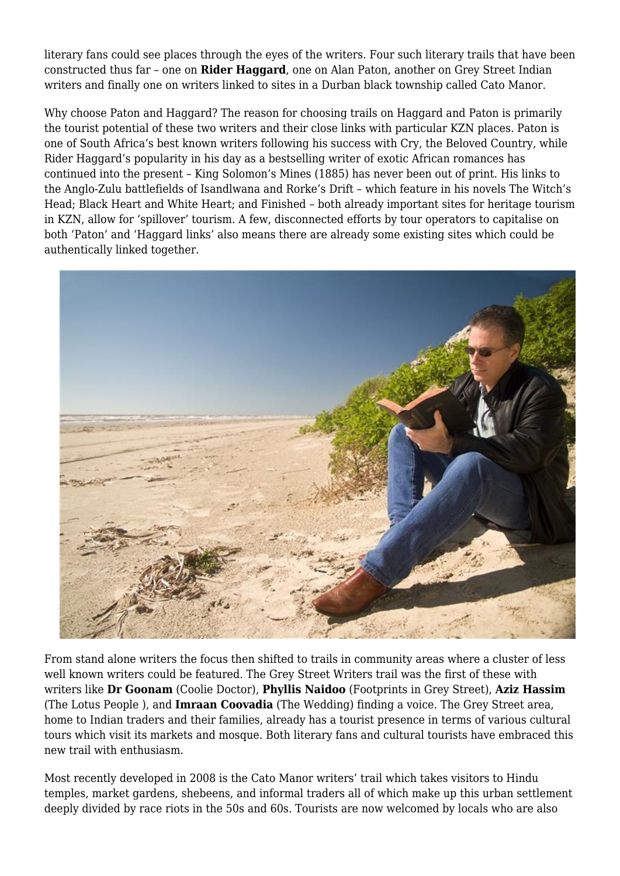literary fans could see places through the eyes of the writers. Four such literary trails that have been constructed thus far – one on **Rider Haggard**, one on Alan Paton, another on Grey Street Indian writers and finally one on writers linked to sites in a Durban black township called Cato Manor.

Why choose Paton and Haggard? The reason for choosing trails on Haggard and Paton is primarily the tourist potential of these two writers and their close links with particular KZN places. Paton is one of South Africa's best known writers following his success with Cry, the Beloved Country, while Rider Haggard's popularity in his day as a bestselling writer of exotic African romances has continued into the present – King Solomon's Mines (1885) has never been out of print. His links to the Anglo-Zulu battlefields of Isandlwana and Rorke's Drift – which feature in his novels The Witch's Head; Black Heart and White Heart; and Finished – both already important sites for heritage tourism in KZN, allow for 'spillover' tourism. A few, disconnected efforts by tour operators to capitalise on both 'Paton' and 'Haggard links' also means there are already some existing sites which could be authentically linked together.



From stand alone writers the focus then shifted to trails in community areas where a cluster of less well known writers could be featured. The Grey Street Writers trail was the first of these with writers like **Dr Goonam** (Coolie Doctor), **Phyllis Naidoo** (Footprints in Grey Street), **Aziz Hassim** (The Lotus People ), and **Imraan Coovadia** (The Wedding) finding a voice. The Grey Street area, home to Indian traders and their families, already has a tourist presence in terms of various cultural tours which visit its markets and mosque. Both literary fans and cultural tourists have embraced this new trail with enthusiasm.

Most recently developed in 2008 is the Cato Manor writers' trail which takes visitors to Hindu temples, market gardens, shebeens, and informal traders all of which make up this urban settlement deeply divided by race riots in the 50s and 60s. Tourists are now welcomed by locals who are also